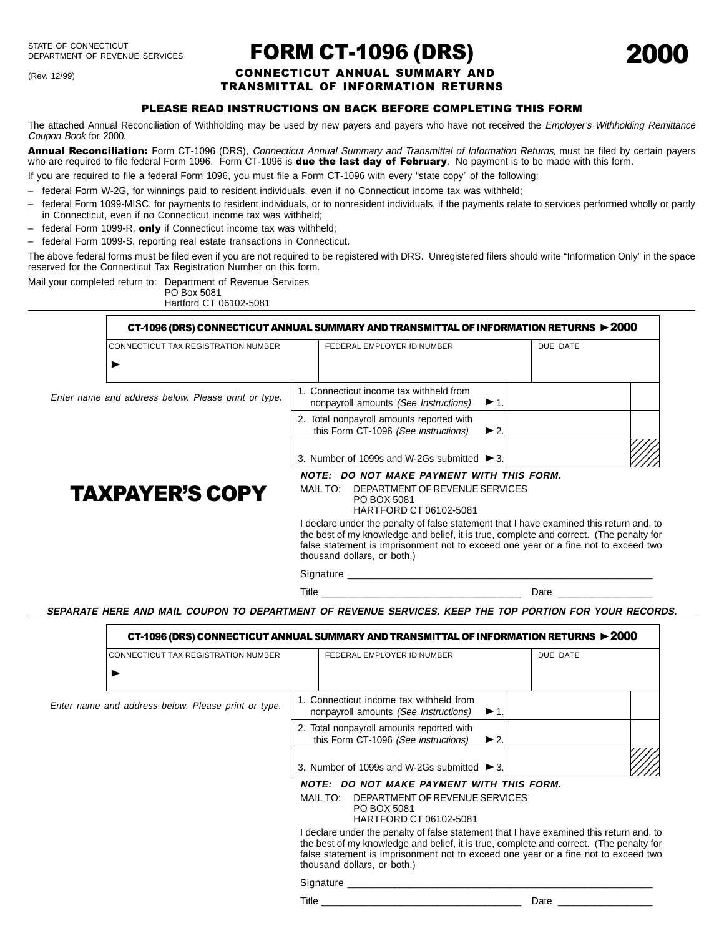(Rev. 12/99)

# FORM CT-1096 (DRS)

2000

## CONNECTICUT ANNUAL SUMMARY AND TRANSMITTAL OF INFORMATION RETURNS

## PLEASE READ INSTRUCTIONS ON BACK BEFORE COMPLETING THIS FORM

The attached Annual Reconciliation of Withholding may be used by new payers and payers who have not received the *Employer's Withholding Remittance* Coupon Book for 2000.

Annual Reconciliation: Form CT-1096 (DRS), Connecticut Annual Summary and Transmittal of Information Returns, must be filed by certain payers who are required to file federal Form 1096. Form CT-1096 is due the last day of February. No payment is to be made with this form.

If you are required to file a federal Form 1096, you must file a Form CT-1096 with every "state copy" of the following:

- federal Form W-2G, for winnings paid to resident individuals, even if no Connecticut income tax was withheld;
- federal Form 1099-MISC, for payments to resident individuals, or to nonresident individuals, if the payments relate to services performed wholly or partly in Connecticut, even if no Connecticut income tax was withheld;
- $-$  federal Form 1099-R, only if Connecticut income tax was withheld;
- federal Form 1099-S, reporting real estate transactions in Connecticut.

The above federal forms must be filed even if you are not required to be registered with DRS. Unregistered filers should write "Information Only" in the space reserved for the Connecticut Tax Registration Number on this form.

Mail your completed return to: Department of Revenue Services

PO Box 5081 Hartford CT 06102-5081

|                                                     |                                                                                                                                                                                                              | CT-1096 (DRS) CONNECTICUT ANNUAL SUMMARY AND TRANSMITTAL OF INFORMATION RETURNS ► 2000                            |  |          |  |
|-----------------------------------------------------|--------------------------------------------------------------------------------------------------------------------------------------------------------------------------------------------------------------|-------------------------------------------------------------------------------------------------------------------|--|----------|--|
| <b>CONNECTICUT TAX REGISTRATION NUMBER</b>          |                                                                                                                                                                                                              | FEDERAL EMPLOYER ID NUMBER                                                                                        |  | DUE DATE |  |
|                                                     |                                                                                                                                                                                                              |                                                                                                                   |  |          |  |
| Enter name and address below. Please print or type. |                                                                                                                                                                                                              | 1. Connecticut income tax withheld from<br>nonpayroll amounts (See Instructions)<br>$\blacktriangleright$ 1.      |  |          |  |
|                                                     |                                                                                                                                                                                                              | 2. Total nonpayroll amounts reported with<br>this Form CT-1096 (See instructions)<br>$\blacktriangleright$ 2.     |  |          |  |
|                                                     |                                                                                                                                                                                                              | 3. Number of 1099s and W-2Gs submitted $\triangleright$ 3.                                                        |  |          |  |
| <b>TAXPAYER'S COPY</b>                              | NOTE: DO NOT MAKE PAYMENT WITH THIS FORM.<br>MAIL TO:<br>DEPARTMENT OF REVENUE SERVICES<br>PO BOX 5081                                                                                                       |                                                                                                                   |  |          |  |
|                                                     | HARTFORD CT 06102-5081<br>I declare under the penalty of false statement that I have examined this return and, to<br>the best of my knowledge and belief, it is true, complete and correct. (The penalty for |                                                                                                                   |  |          |  |
|                                                     |                                                                                                                                                                                                              | false statement is imprisonment not to exceed one year or a fine not to exceed two<br>thousand dollars, or both.) |  |          |  |
|                                                     |                                                                                                                                                                                                              | Signature ___________<br>Title                                                                                    |  | Date     |  |

**SEPARATE HERE AND MAIL COUPON TO DEPARTMENT OF REVENUE SERVICES. KEEP THE TOP PORTION FOR YOUR RECORDS.**

|                                                     | CT-1096 (DRS) CONNECTICUT ANNUAL SUMMARY AND TRANSMITTAL OF INFORMATION RETURNS ► $2000$                                         |                                                                                                                                                                                                                                                                                                         |  |          |  |  |
|-----------------------------------------------------|----------------------------------------------------------------------------------------------------------------------------------|---------------------------------------------------------------------------------------------------------------------------------------------------------------------------------------------------------------------------------------------------------------------------------------------------------|--|----------|--|--|
|                                                     | <b>CONNECTICUT TAX REGISTRATION NUMBER</b>                                                                                       | FEDERAL EMPLOYER ID NUMBER                                                                                                                                                                                                                                                                              |  | DUE DATE |  |  |
|                                                     |                                                                                                                                  |                                                                                                                                                                                                                                                                                                         |  |          |  |  |
| Enter name and address below. Please print or type. | 1. Connecticut income tax withheld from<br>nonpayroll amounts (See Instructions)                                                 | $\blacktriangleright$ 1.                                                                                                                                                                                                                                                                                |  |          |  |  |
|                                                     | 2. Total nonpayroll amounts reported with<br>this Form CT-1096 (See instructions)                                                | $\blacktriangleright$ 2.                                                                                                                                                                                                                                                                                |  |          |  |  |
|                                                     |                                                                                                                                  | 3. Number of 1099s and W-2Gs submitted $\triangleright$ 3.                                                                                                                                                                                                                                              |  |          |  |  |
|                                                     | NOTE: DO NOT MAKE PAYMENT WITH THIS FORM.<br>MAIL TO:<br>DEPARTMENT OF REVENUE SERVICES<br>PO BOX 5081<br>HARTFORD CT 06102-5081 |                                                                                                                                                                                                                                                                                                         |  |          |  |  |
|                                                     |                                                                                                                                  | I declare under the penalty of false statement that I have examined this return and, to<br>the best of my knowledge and belief, it is true, complete and correct. (The penalty for<br>false statement is imprisonment not to exceed one year or a fine not to exceed two<br>thousand dollars, or both.) |  |          |  |  |
|                                                     |                                                                                                                                  | Signature                                                                                                                                                                                                                                                                                               |  |          |  |  |
|                                                     |                                                                                                                                  | Title                                                                                                                                                                                                                                                                                                   |  | Date     |  |  |